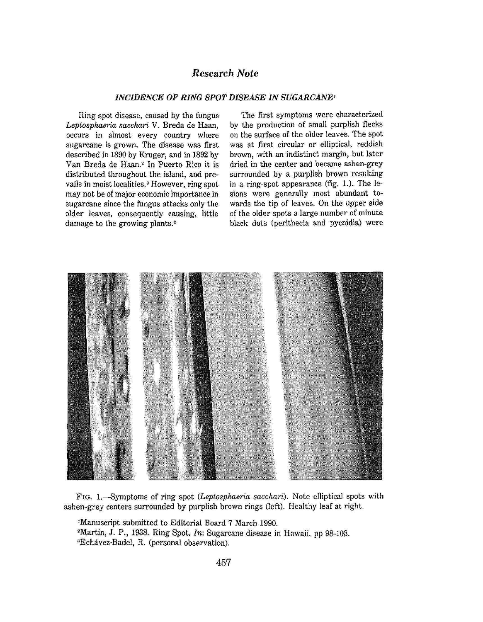## *Research Note*

## *INCIDENCE OF RING SPOT DISEASE IN SUGARCANE'*

Ring spot disease, caused by the fungus *Leptospha&ia saeckari* V. Breda de Haan, occurs in almost every country where sugarcane is grown. The disease was first described in 1890 by Kruger, and in 1892 by Van Breda de Haan.<sup>2</sup> In Puerto Rico it is distributed throughout the island, and prevails in moist localities.<sup>3</sup> However, *ring* spot may not be of major economic importance in sugarcane since the fungus attacks only the older leaves, consequently causing, little damage to the growing plants.<sup>2</sup>

The first symptoms were characterized by the production of small purplish flecks on the surface of the older leaves. The spot was at first circular or elliptical, reddish brown, with an indistinct margin, but later dried in the center and became ashen-grey surrounded by a purplish brown resulting in a ring-spot appearance (fig. 1.). The lesions were generally most abundant towards the tip *of* leaves. On the upper side of the older spots a large number of minute black dots (perithecia and pycnidia) were



FIG. 1,—Symptoms of ring spot *(Leptosphaeiia sacchari).* Note elliptical spots with ashen-grey centers surrounded by purplish brown rings (left). Healthy leaf at right.

'Manuscript submitted to Editorial Board 7 March 1990.

<sup>s</sup>Martin, J. P., 1938. Ring Spot. *In:* Sugarcane disease in Hawaii, pp 98-103. <sup>3</sup>Echavez-Badel, R. (personal observation).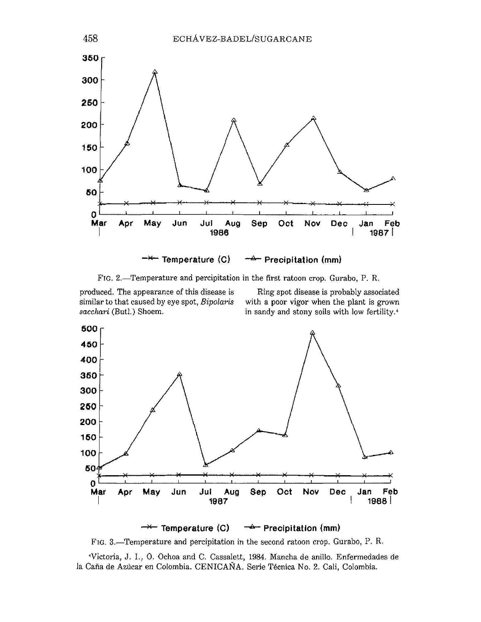

FIG. 2.—Temperature and percipitation in the first ratoon **crop. Gurabo, P. R.** 

produced. The appearance of this disease is Ring spot disease is probably associated similar to that caused by eye spot, *Bipolaris* with a poor vigor when the plant is grown *sacchari* (Butl.) Shoem. in **sandy** and stony soils with low fertility."



FIG. 3.—Temperature and percipitation in the second ratoon crop. Gurabo, P. R.

••Victoria, J. I., 0. Ochoa and C. Cassalett, 1984. Mancha de anillo. Enfermedades de la Caña de Azúcar en Colombia. CENICAÑA. Serie Técnica No. 2. Cali, Colombia.